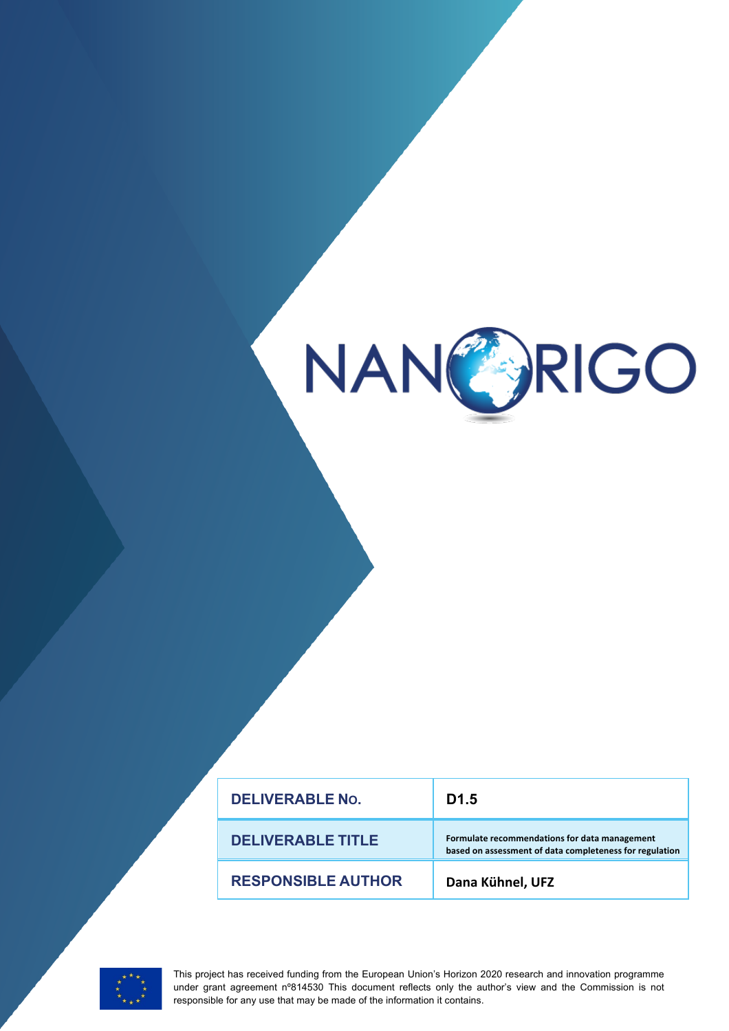

| <b>DELIVERABLE No.</b>    | D <sub>1.5</sub>                                                                                         |
|---------------------------|----------------------------------------------------------------------------------------------------------|
| <b>DELIVERABLE TITLE</b>  | Formulate recommendations for data management<br>based on assessment of data completeness for regulation |
| <b>RESPONSIBLE AUTHOR</b> | Dana Kühnel, UFZ                                                                                         |



This project has received funding from the European Union's Horizon 2020 research and innovation programme under grant agreement n°814530 This document reflects only the author's view and the Commission is not responsible for any use that may be made of the information it contains.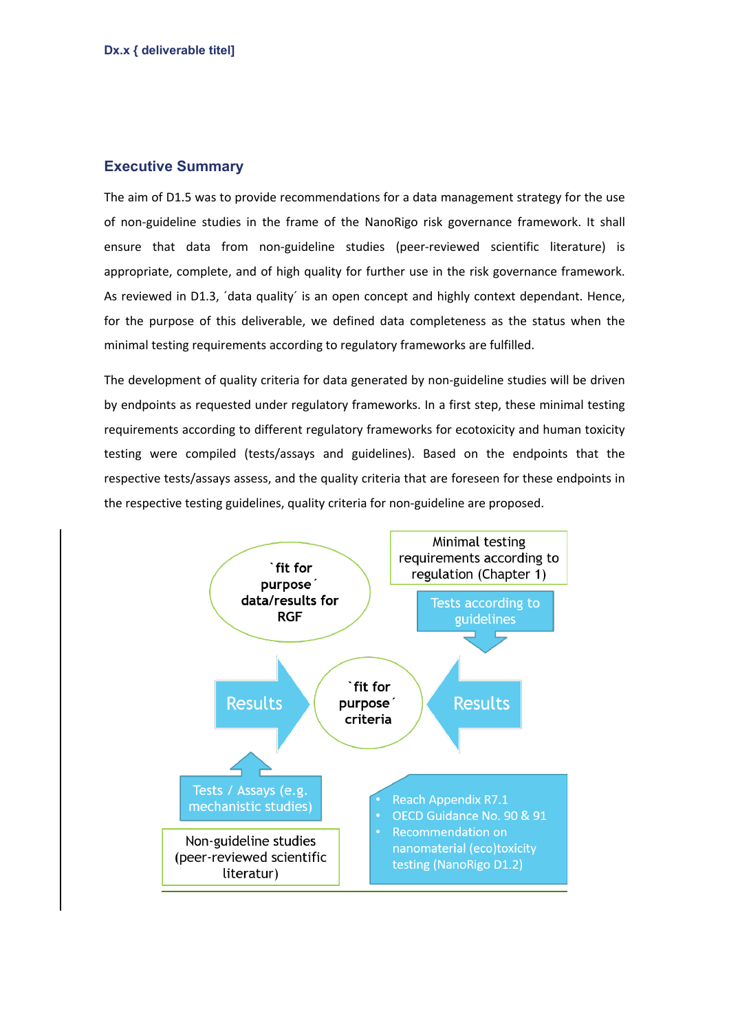## **Executive Summary**

The aim of D1.5 was to provide recommendations for a data management strategy for the use of non-guideline studies in the frame of the NanoRigo risk governance framework. It shall ensure that data from non-guideline studies (peer-reviewed scientific literature) is appropriate, complete, and of high quality for further use in the risk governance framework. As reviewed in D1.3, 'data quality' is an open concept and highly context dependant. Hence, for the purpose of this deliverable, we defined data completeness as the status when the minimal testing requirements according to regulatory frameworks are fulfilled.

The development of quality criteria for data generated by non-guideline studies will be driven by endpoints as requested under regulatory frameworks. In a first step, these minimal testing requirements according to different regulatory frameworks for ecotoxicity and human toxicity testing were compiled (tests/assays and guidelines). Based on the endpoints that the respective tests/assays assess, and the quality criteria that are foreseen for these endpoints in the respective testing guidelines, quality criteria for non-guideline are proposed.

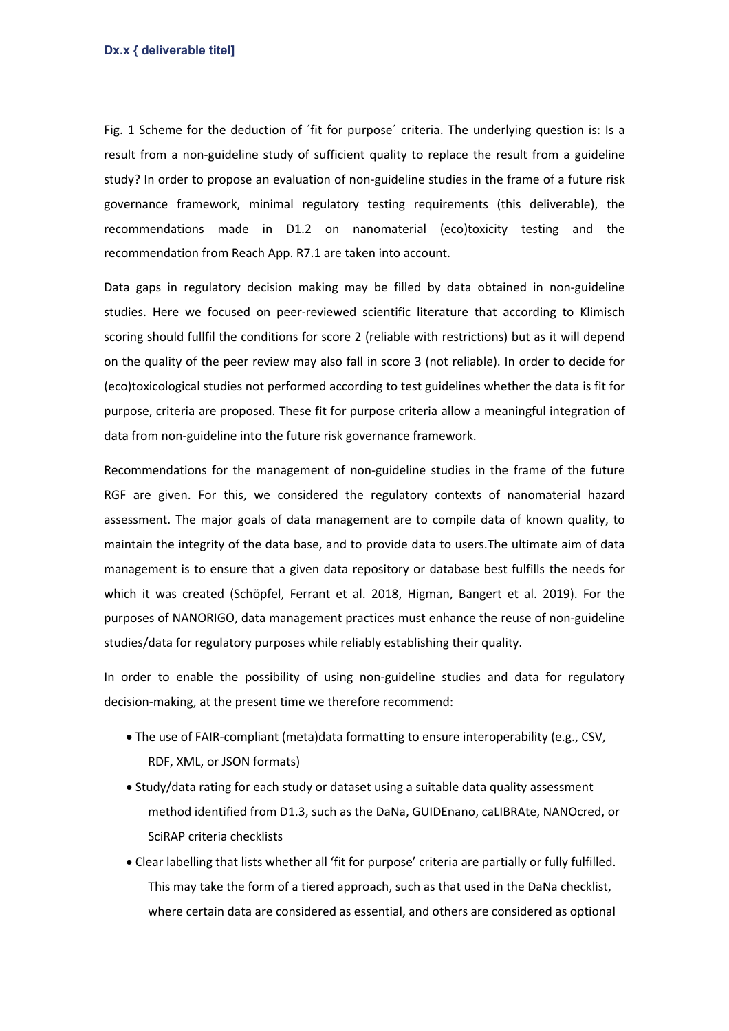Fig. 1 Scheme for the deduction of ´fit for purpose´ criteria. The underlying question is: Is a result from a non-guideline study of sufficient quality to replace the result from a guideline study? In order to propose an evaluation of non-guideline studies in the frame of a future risk governance framework, minimal regulatory testing requirements (this deliverable), the recommendations made in D1.2 on nanomaterial (eco)toxicity testing and the recommendation from Reach App. R7.1 are taken into account.

Data gaps in regulatory decision making may be filled by data obtained in non-guideline studies. Here we focused on peer-reviewed scientific literature that according to Klimisch scoring should fullfil the conditions for score 2 (reliable with restrictions) but as it will depend on the quality of the peer review may also fall in score 3 (not reliable). In order to decide for (eco)toxicological studies not performed according to test guidelines whether the data is fit for purpose, criteria are proposed. These fit for purpose criteria allow a meaningful integration of data from non-guideline into the future risk governance framework.

Recommendations for the management of non-guideline studies in the frame of the future RGF are given. For this, we considered the regulatory contexts of nanomaterial hazard assessment. The major goals of data management are to compile data of known quality, to maintain the integrity of the data base, and to provide data to users.The ultimate aim of data management is to ensure that a given data repository or database best fulfills the needs for which it was created (Schöpfel, Ferrant et al. 2018, Higman, Bangert et al. 2019). For the purposes of NANORIGO, data management practices must enhance the reuse of non-guideline studies/data for regulatory purposes while reliably establishing their quality.

In order to enable the possibility of using non-guideline studies and data for regulatory decision-making, at the present time we therefore recommend:

- The use of FAIR-compliant (meta)data formatting to ensure interoperability (e.g., CSV, RDF, XML, or JSON formats)
- Study/data rating for each study or dataset using a suitable data quality assessment method identified from D1.3, such as the DaNa, GUIDEnano, caLIBRAte, NANOcred, or SciRAP criteria checklists
- Clear labelling that lists whether all 'fit for purpose' criteria are partially or fully fulfilled. This may take the form of a tiered approach, such as that used in the DaNa checklist, where certain data are considered as essential, and others are considered as optional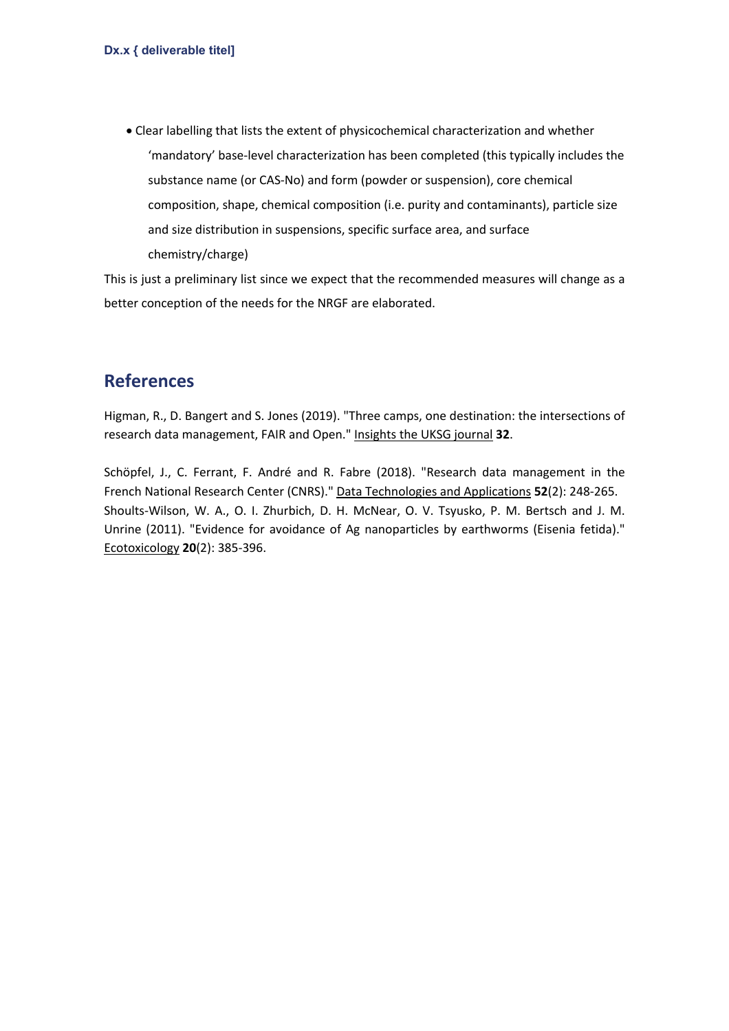• Clear labelling that lists the extent of physicochemical characterization and whether 'mandatory' base-level characterization has been completed (this typically includes the substance name (or CAS-No) and form (powder or suspension), core chemical composition, shape, chemical composition (i.e. purity and contaminants), particle size and size distribution in suspensions, specific surface area, and surface chemistry/charge)

This is just a preliminary list since we expect that the recommended measures will change as a better conception of the needs for the NRGF are elaborated.

## **References**

Higman, R., D. Bangert and S. Jones (2019). "Three camps, one destination: the intersections of research data management, FAIR and Open." Insights the UKSG journal **32**.

Schöpfel, J., C. Ferrant, F. André and R. Fabre (2018). "Research data management in the French National Research Center (CNRS)." Data Technologies and Applications **52**(2): 248-265. Shoults-Wilson, W. A., O. I. Zhurbich, D. H. McNear, O. V. Tsyusko, P. M. Bertsch and J. M. Unrine (2011). "Evidence for avoidance of Ag nanoparticles by earthworms (Eisenia fetida)." Ecotoxicology **20**(2): 385-396.